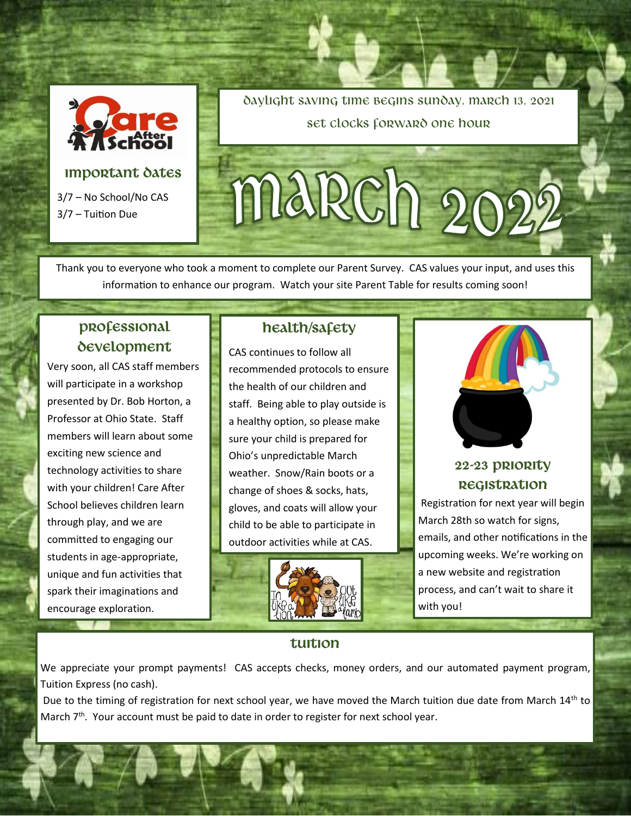

### **IMPORTANT DATES**

3/7 – No School/No CAS 3/7 – Tuition Due

Daylight saving time begins Sunday, march 13, 2021 Set clocks forward one hour

# march?

Thank you to everyone who took a moment to complete our Parent Survey. CAS values your input, and uses this information to enhance our program. Watch your site Parent Table for results coming soon!

### **Professional development**

Very soon, all CAS staff members will participate in a workshop presented by Dr. Bob Horton, a Professor at Ohio State. Staff members will learn about some exciting new science and technology activities to share with your children! Care After School believes children learn through play, and we are committed to engaging our students in age-appropriate, unique and fun activities that spark their imaginations and encourage exploration.

### **HEALTH/SAFETY**

CAS continues to follow all recommended protocols to ensure the health of our children and staff. Being able to play outside is a healthy option, so please make sure your child is prepared for Ohio's unpredictable March weather. Snow/Rain boots or a change of shoes & socks, hats, gloves, and coats will allow your child to be able to participate in outdoor activities while at CAS.





### **22-23 Priority Registration**

Registration for next year will begin March 28th so watch for signs, emails, and other notifications in the upcoming weeks. We're working on a new website and registration process, and can't wait to share it with you!

### **Tuition**

We appreciate your prompt payments! CAS accepts checks, money orders, and our automated payment program, Tuition Express (no cash).

Due to the timing of registration for next school year, we have moved the March tuition due date from March 14<sup>th</sup> to March  $7<sup>th</sup>$ . Your account must be paid to date in order to register for next school year.